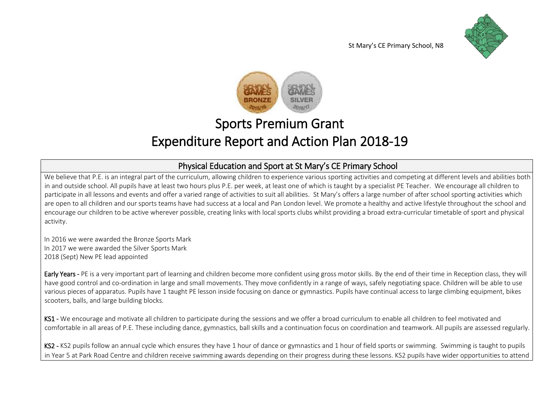



# Sports Premium Grant Expenditure Report and Action Plan 2018-19

## Physical Education and Sport at St Mary's CE Primary School

We believe that P.E. is an integral part of the curriculum, allowing children to experience various sporting activities and competing at different levels and abilities both in and outside school. All pupils have at least two hours plus P.E. per week, at least one of which is taught by a specialist PE Teacher. We encourage all children to participate in all lessons and events and offer a varied range of activities to suit all abilities. St Mary's offers a large number of after school sporting activities which are open to all children and our sports teams have had success at a local and Pan London level. We promote a healthy and active lifestyle throughout the school and encourage our children to be active wherever possible, creating links with local sports clubs whilst providing a broad extra-curricular timetable of sport and physical activity.

In 2016 we were awarded the Bronze Sports Mark In 2017 we were awarded the Silver Sports Mark 2018 (Sept) New PE lead appointed

Early Years - PE is a very important part of learning and children become more confident using gross motor skills. By the end of their time in Reception class, they will have good control and co-ordination in large and small movements. They move confidently in a range of ways, safely negotiating space. Children will be able to use various pieces of apparatus. Pupils have 1 taught PE lesson inside focusing on dance or gymnastics. Pupils have continual access to large climbing equipment, bikes scooters, balls, and large building blocks.

KS1 - We encourage and motivate all children to participate during the sessions and we offer a broad curriculum to enable all children to feel motivated and comfortable in all areas of P.E. These including dance, gymnastics, ball skills and a continuation focus on coordination and teamwork. All pupils are assessed regularly.

KS2 - KS2 pupils follow an annual cycle which ensures they have 1 hour of dance or gymnastics and 1 hour of field sports or swimming. Swimming is taught to pupils in Year 5 at Park Road Centre and children receive swimming awards depending on their progress during these lessons. KS2 pupils have wider opportunities to attend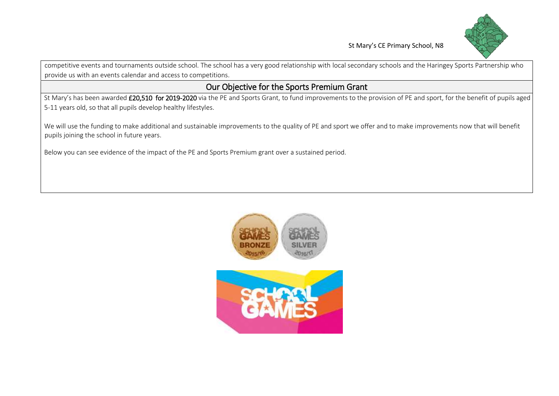

competitive events and tournaments outside school. The school has a very good relationship with local secondary schools and the Haringey Sports Partnership who provide us with an events calendar and access to competitions.

### Our Objective for the Sports Premium Grant

St Mary's has been awarded £20,510 for 2019-2020 via the PE and Sports Grant, to fund improvements to the provision of PE and sport, for the benefit of pupils aged 5-11 years old, so that all pupils develop healthy lifestyles.

We will use the funding to make additional and sustainable improvements to the quality of PE and sport we offer and to make improvements now that will benefit pupils joining the school in future years.

Below you can see evidence of the impact of the PE and Sports Premium grant over a sustained period.

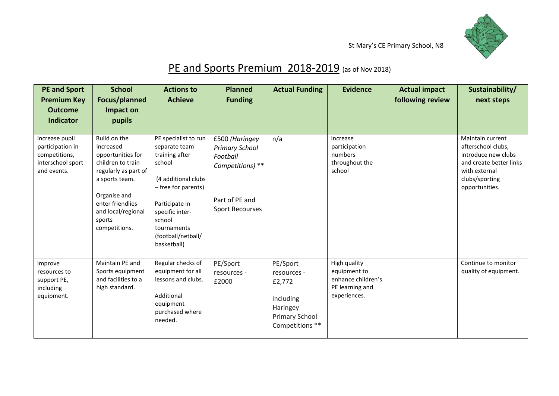

# PE and Sports Premium 2018-2019 (as of Nov 2018)

| <b>PE and Sport</b><br><b>Premium Key</b><br><b>Outcome</b><br>Indicator                | <b>School</b><br>Focus/planned<br>Impact on<br>pupils                                                                                                                                              | <b>Actions to</b><br><b>Achieve</b>                                                                                                                                                                                | <b>Planned</b><br><b>Funding</b>                                                                                    | <b>Actual Funding</b>                                                                           | <b>Evidence</b>                                                                       | <b>Actual impact</b><br>following review | Sustainability/<br>next steps                                                                                                                 |
|-----------------------------------------------------------------------------------------|----------------------------------------------------------------------------------------------------------------------------------------------------------------------------------------------------|--------------------------------------------------------------------------------------------------------------------------------------------------------------------------------------------------------------------|---------------------------------------------------------------------------------------------------------------------|-------------------------------------------------------------------------------------------------|---------------------------------------------------------------------------------------|------------------------------------------|-----------------------------------------------------------------------------------------------------------------------------------------------|
| Increase pupil<br>participation in<br>competitions,<br>interschool sport<br>and events. | Build on the<br>increased<br>opportunities for<br>children to train<br>regularly as part of<br>a sports team.<br>Organise and<br>enter friendlies<br>and local/regional<br>sports<br>competitions. | PE specialist to run<br>separate team<br>training after<br>school<br>(4 additional clubs<br>- free for parents)<br>Participate in<br>specific inter-<br>school<br>tournaments<br>(football/netball/<br>basketball) | £500 (Haringey<br><b>Primary School</b><br>Football<br>Competitions) **<br>Part of PE and<br><b>Sport Recourses</b> | n/a                                                                                             | Increase<br>participation<br>numbers<br>throughout the<br>school                      |                                          | Maintain current<br>afterschool clubs,<br>introduce new clubs<br>and create better links<br>with external<br>clubs/sporting<br>opportunities. |
| Improve<br>resources to<br>support PE,<br>including<br>equipment.                       | Maintain PE and<br>Sports equipment<br>and facilities to a<br>high standard.                                                                                                                       | Regular checks of<br>equipment for all<br>lessons and clubs.<br>Additional<br>equipment<br>purchased where<br>needed.                                                                                              | PE/Sport<br>resources -<br>£2000                                                                                    | PE/Sport<br>resources -<br>£2,772<br>Including<br>Haringey<br>Primary School<br>Competitions ** | High quality<br>equipment to<br>enhance children's<br>PE learning and<br>experiences. |                                          | Continue to monitor<br>quality of equipment.                                                                                                  |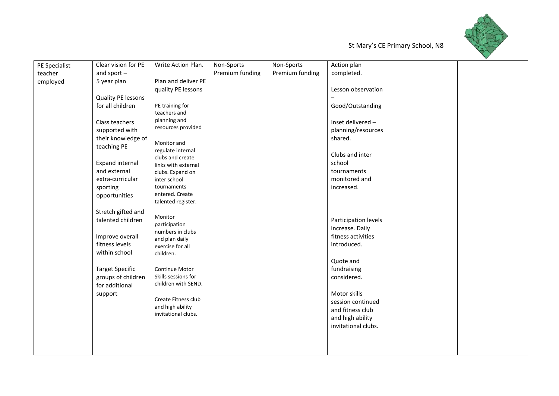

| PE Specialist | Clear vision for PE               | Write Action Plan.                    | Non-Sports      | Non-Sports      | Action plan                       |  |
|---------------|-----------------------------------|---------------------------------------|-----------------|-----------------|-----------------------------------|--|
| teacher       | and sport $-$                     |                                       | Premium funding | Premium funding | completed.                        |  |
| employed      | 5 year plan                       | Plan and deliver PE                   |                 |                 |                                   |  |
|               |                                   | quality PE lessons                    |                 |                 | Lesson observation                |  |
|               | Quality PE lessons                |                                       |                 |                 |                                   |  |
|               | for all children                  | PE training for                       |                 |                 | Good/Outstanding                  |  |
|               |                                   | teachers and                          |                 |                 |                                   |  |
|               | Class teachers                    | planning and                          |                 |                 | Inset delivered -                 |  |
|               | supported with                    | resources provided                    |                 |                 | planning/resources                |  |
|               | their knowledge of                | Monitor and                           |                 |                 | shared.                           |  |
|               | teaching PE                       | regulate internal                     |                 |                 |                                   |  |
|               |                                   | clubs and create                      |                 |                 | Clubs and inter                   |  |
|               | <b>Expand internal</b>            | links with external                   |                 |                 | school                            |  |
|               | and external                      | clubs. Expand on                      |                 |                 | tournaments                       |  |
|               | extra-curricular                  | inter school                          |                 |                 | monitored and                     |  |
|               | sporting                          | tournaments                           |                 |                 | increased.                        |  |
|               | opportunities                     | entered. Create<br>talented register. |                 |                 |                                   |  |
|               |                                   |                                       |                 |                 |                                   |  |
|               | Stretch gifted and                | Monitor                               |                 |                 |                                   |  |
|               | talented children                 | participation                         |                 |                 | Participation levels              |  |
|               |                                   | numbers in clubs                      |                 |                 | increase. Daily                   |  |
|               | Improve overall<br>fitness levels | and plan daily                        |                 |                 | fitness activities<br>introduced. |  |
|               | within school                     | exercise for all                      |                 |                 |                                   |  |
|               |                                   | children.                             |                 |                 | Quote and                         |  |
|               | <b>Target Specific</b>            | Continue Motor                        |                 |                 | fundraising                       |  |
|               | groups of children                | Skills sessions for                   |                 |                 | considered.                       |  |
|               | for additional                    | children with SEND.                   |                 |                 |                                   |  |
|               | support                           |                                       |                 |                 | Motor skills                      |  |
|               |                                   | Create Fitness club                   |                 |                 | session continued                 |  |
|               |                                   | and high ability                      |                 |                 | and fitness club                  |  |
|               |                                   | invitational clubs.                   |                 |                 | and high ability                  |  |
|               |                                   |                                       |                 |                 | invitational clubs.               |  |
|               |                                   |                                       |                 |                 |                                   |  |
|               |                                   |                                       |                 |                 |                                   |  |
|               |                                   |                                       |                 |                 |                                   |  |